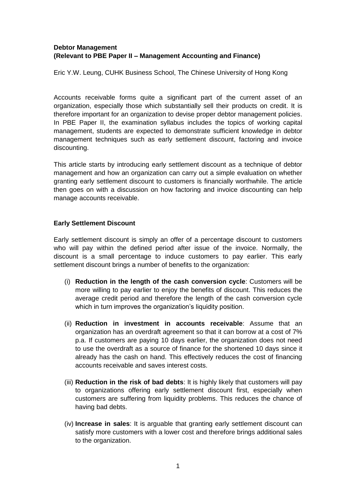### **Debtor Management (Relevant to PBE Paper II – Management Accounting and Finance)**

Eric Y.W. Leung, CUHK Business School, The Chinese University of Hong Kong

Accounts receivable forms quite a significant part of the current asset of an organization, especially those which substantially sell their products on credit. It is therefore important for an organization to devise proper debtor management policies. In PBE Paper II, the examination syllabus includes the topics of working capital management, students are expected to demonstrate sufficient knowledge in debtor management techniques such as early settlement discount, factoring and invoice discounting.

This article starts by introducing early settlement discount as a technique of debtor management and how an organization can carry out a simple evaluation on whether granting early settlement discount to customers is financially worthwhile. The article then goes on with a discussion on how factoring and invoice discounting can help manage accounts receivable.

#### **Early Settlement Discount**

Early settlement discount is simply an offer of a percentage discount to customers who will pay within the defined period after issue of the invoice. Normally, the discount is a small percentage to induce customers to pay earlier. This early settlement discount brings a number of benefits to the organization:

- (i) **Reduction in the length of the cash conversion cycle**: Customers will be more willing to pay earlier to enjoy the benefits of discount. This reduces the average credit period and therefore the length of the cash conversion cycle which in turn improves the organization's liquidity position.
- (ii) **Reduction in investment in accounts receivable**: Assume that an organization has an overdraft agreement so that it can borrow at a cost of 7% p.a. If customers are paying 10 days earlier, the organization does not need to use the overdraft as a source of finance for the shortened 10 days since it already has the cash on hand. This effectively reduces the cost of financing accounts receivable and saves interest costs.
- (iii) **Reduction in the risk of bad debts**: It is highly likely that customers will pay to organizations offering early settlement discount first, especially when customers are suffering from liquidity problems. This reduces the chance of having bad debts.
- (iv) **Increase in sales**: It is arguable that granting early settlement discount can satisfy more customers with a lower cost and therefore brings additional sales to the organization.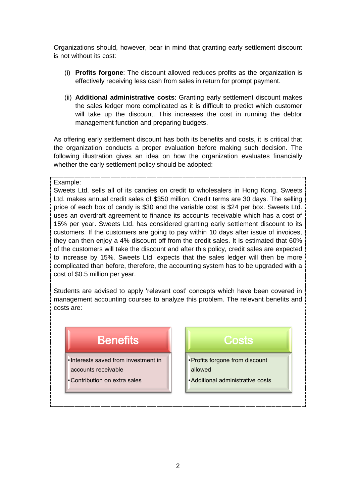Organizations should, however, bear in mind that granting early settlement discount is not without its cost:

- (i) **Profits forgone**: The discount allowed reduces profits as the organization is effectively receiving less cash from sales in return for prompt payment.
- (ii) **Additional administrative costs**: Granting early settlement discount makes the sales ledger more complicated as it is difficult to predict which customer will take up the discount. This increases the cost in running the debtor management function and preparing budgets.

As offering early settlement discount has both its benefits and costs, it is critical that the organization conducts a proper evaluation before making such decision. The following illustration gives an idea on how the organization evaluates financially whether the early settlement policy should be adopted:

#### Example:

Sweets Ltd. sells all of its candies on credit to wholesalers in Hong Kong. Sweets Ltd. makes annual credit sales of \$350 million. Credit terms are 30 days. The selling price of each box of candy is \$30 and the variable cost is \$24 per box. Sweets Ltd. uses an overdraft agreement to finance its accounts receivable which has a cost of 15% per year. Sweets Ltd. has considered granting early settlement discount to its customers. If the customers are going to pay within 10 days after issue of invoices, they can then enjoy a 4% discount off from the credit sales. It is estimated that 60% of the customers will take the discount and after this policy, credit sales are expected to increase by 15%. Sweets Ltd. expects that the sales ledger will then be more complicated than before, therefore, the accounting system has to be upgraded with a cost of \$0.5 million per year.

Students are advised to apply 'relevant cost' concepts which have been covered in management accounting courses to analyze this problem. The relevant benefits and costs are:

# **Benefits**

•Interests saved from investment in

accounts receivable

•Contribution on extra sales

# Costs

- •Profits forgone from discount allowed
- •Additional administrative costs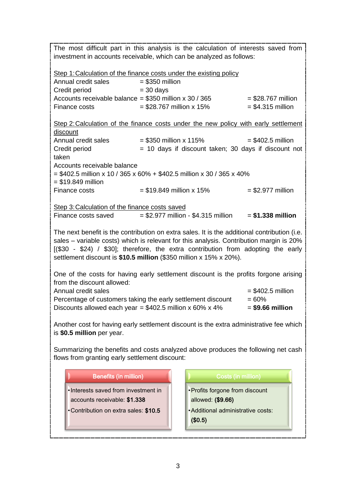| The most difficult part in this analysis is the calculation of interests saved from                                                                                                                                                                                                                                                                |                                                      |                                    |                      |
|----------------------------------------------------------------------------------------------------------------------------------------------------------------------------------------------------------------------------------------------------------------------------------------------------------------------------------------------------|------------------------------------------------------|------------------------------------|----------------------|
| investment in accounts receivable, which can be analyzed as follows:                                                                                                                                                                                                                                                                               |                                                      |                                    |                      |
| Step 1: Calculation of the finance costs under the existing policy                                                                                                                                                                                                                                                                                 |                                                      |                                    |                      |
| Annual credit sales                                                                                                                                                                                                                                                                                                                                | $= $350$ million                                     |                                    |                      |
| Credit period                                                                                                                                                                                                                                                                                                                                      | $=$ 30 days                                          |                                    |                      |
| Accounts receivable balance = $$350$ million x 30 / 365                                                                                                                                                                                                                                                                                            |                                                      |                                    | $=$ \$28.767 million |
| Finance costs                                                                                                                                                                                                                                                                                                                                      | $= $28.767$ million x 15%                            |                                    | $= $4.315$ million   |
| Step 2: Calculation of the finance costs under the new policy with early settlement                                                                                                                                                                                                                                                                |                                                      |                                    |                      |
| discount                                                                                                                                                                                                                                                                                                                                           |                                                      |                                    |                      |
| Annual credit sales                                                                                                                                                                                                                                                                                                                                | $= $350$ million x 115%                              |                                    | $=$ \$402.5 million  |
| Credit period<br>taken                                                                                                                                                                                                                                                                                                                             | = 10 days if discount taken; 30 days if discount not |                                    |                      |
| Accounts receivable balance                                                                                                                                                                                                                                                                                                                        |                                                      |                                    |                      |
| = \$402.5 million x 10 / 365 x 60% + \$402.5 million x 30 / 365 x 40%<br>$= $19.849$ million                                                                                                                                                                                                                                                       |                                                      |                                    |                      |
| Finance costs                                                                                                                                                                                                                                                                                                                                      | $= $19.849$ million x 15%                            |                                    | $=$ \$2.977 million  |
| Step 3: Calculation of the finance costs saved                                                                                                                                                                                                                                                                                                     |                                                      |                                    |                      |
| Finance costs saved $= $2.977$ million - \$4.315 million                                                                                                                                                                                                                                                                                           |                                                      |                                    | $= $1.338$ million   |
| The next benefit is the contribution on extra sales. It is the additional contribution (i.e.<br>sales - variable costs) which is relevant for this analysis. Contribution margin is 20%<br>[(\$30 - \$24) / \$30]; therefore, the extra contribution from adopting the early<br>settlement discount is \$10.5 million (\$350 million x 15% x 20%). |                                                      |                                    |                      |
| One of the costs for having early settlement discount is the profits forgone arising                                                                                                                                                                                                                                                               |                                                      |                                    |                      |
| from the discount allowed:<br>Annual credit sales                                                                                                                                                                                                                                                                                                  |                                                      |                                    |                      |
| $= $402.5$ million                                                                                                                                                                                                                                                                                                                                 |                                                      |                                    |                      |
| Percentage of customers taking the early settlement discount<br>$= 60%$<br>Discounts allowed each year = $$402.5$ million x 60% x 4%<br>$=$ \$9.66 million                                                                                                                                                                                         |                                                      |                                    |                      |
|                                                                                                                                                                                                                                                                                                                                                    |                                                      |                                    |                      |
| Another cost for having early settlement discount is the extra administrative fee which<br>is \$0.5 million per year.                                                                                                                                                                                                                              |                                                      |                                    |                      |
|                                                                                                                                                                                                                                                                                                                                                    |                                                      |                                    |                      |
| Summarizing the benefits and costs analyzed above produces the following net cash<br>flows from granting early settlement discount:                                                                                                                                                                                                                |                                                      |                                    |                      |
| <b>Benefits (in million)</b>                                                                                                                                                                                                                                                                                                                       |                                                      | Costs (in million)                 |                      |
| • Interests saved from investment in                                                                                                                                                                                                                                                                                                               |                                                      | • Profits forgone from discount    |                      |
| accounts receivable: \$1.338                                                                                                                                                                                                                                                                                                                       |                                                      | allowed: (\$9.66)                  |                      |
|                                                                                                                                                                                                                                                                                                                                                    |                                                      |                                    |                      |
| •Contribution on extra sales: \$10.5                                                                                                                                                                                                                                                                                                               | (\$0.5)                                              | • Additional administrative costs: |                      |
|                                                                                                                                                                                                                                                                                                                                                    |                                                      |                                    |                      |
|                                                                                                                                                                                                                                                                                                                                                    |                                                      |                                    |                      |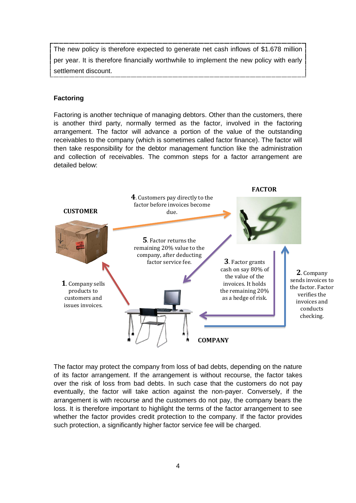The new policy is therefore expected to generate net cash inflows of \$1.678 million per year. It is therefore financially worthwhile to implement the new policy with early settlement discount.

### **Factoring**

Factoring is another technique of managing debtors. Other than the customers, there is another third party, normally termed as the factor, involved in the factoring arrangement. The factor will advance a portion of the value of the outstanding receivables to the company (which is sometimes called factor finance). The factor will then take responsibility for the debtor management function like the administration and collection of receivables. The common steps for a factor arrangement are detailed below:



The factor may protect the company from loss of bad debts, depending on the nature of its factor arrangement. If the arrangement is without recourse, the factor takes over the risk of loss from bad debts. In such case that the customers do not pay eventually, the factor will take action against the non-payer. Conversely, if the arrangement is with recourse and the customers do not pay, the company bears the loss. It is therefore important to highlight the terms of the factor arrangement to see whether the factor provides credit protection to the company. If the factor provides such protection, a significantly higher factor service fee will be charged.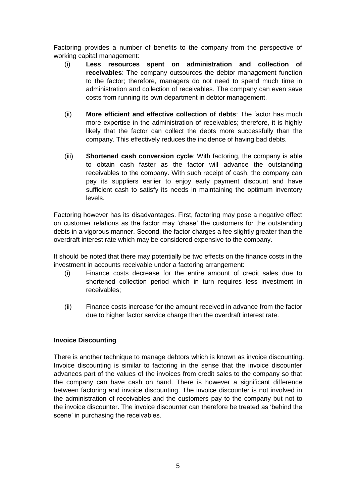Factoring provides a number of benefits to the company from the perspective of working capital management:

- (i) **Less resources spent on administration and collection of receivables**: The company outsources the debtor management function to the factor; therefore, managers do not need to spend much time in administration and collection of receivables. The company can even save costs from running its own department in debtor management.
- (ii) **More efficient and effective collection of debts**: The factor has much more expertise in the administration of receivables; therefore, it is highly likely that the factor can collect the debts more successfully than the company. This effectively reduces the incidence of having bad debts.
- (iii) **Shortened cash conversion cycle**: With factoring, the company is able to obtain cash faster as the factor will advance the outstanding receivables to the company. With such receipt of cash, the company can pay its suppliers earlier to enjoy early payment discount and have sufficient cash to satisfy its needs in maintaining the optimum inventory levels.

Factoring however has its disadvantages. First, factoring may pose a negative effect on customer relations as the factor may 'chase' the customers for the outstanding debts in a vigorous manner. Second, the factor charges a fee slightly greater than the overdraft interest rate which may be considered expensive to the company.

It should be noted that there may potentially be two effects on the finance costs in the investment in accounts receivable under a factoring arrangement:

- (i) Finance costs decrease for the entire amount of credit sales due to shortened collection period which in turn requires less investment in receivables;
- (ii) Finance costs increase for the amount received in advance from the factor due to higher factor service charge than the overdraft interest rate.

### **Invoice Discounting**

There is another technique to manage debtors which is known as invoice discounting. Invoice discounting is similar to factoring in the sense that the invoice discounter advances part of the values of the invoices from credit sales to the company so that the company can have cash on hand. There is however a significant difference between factoring and invoice discounting. The invoice discounter is not involved in the administration of receivables and the customers pay to the company but not to the invoice discounter. The invoice discounter can therefore be treated as 'behind the scene' in purchasing the receivables.